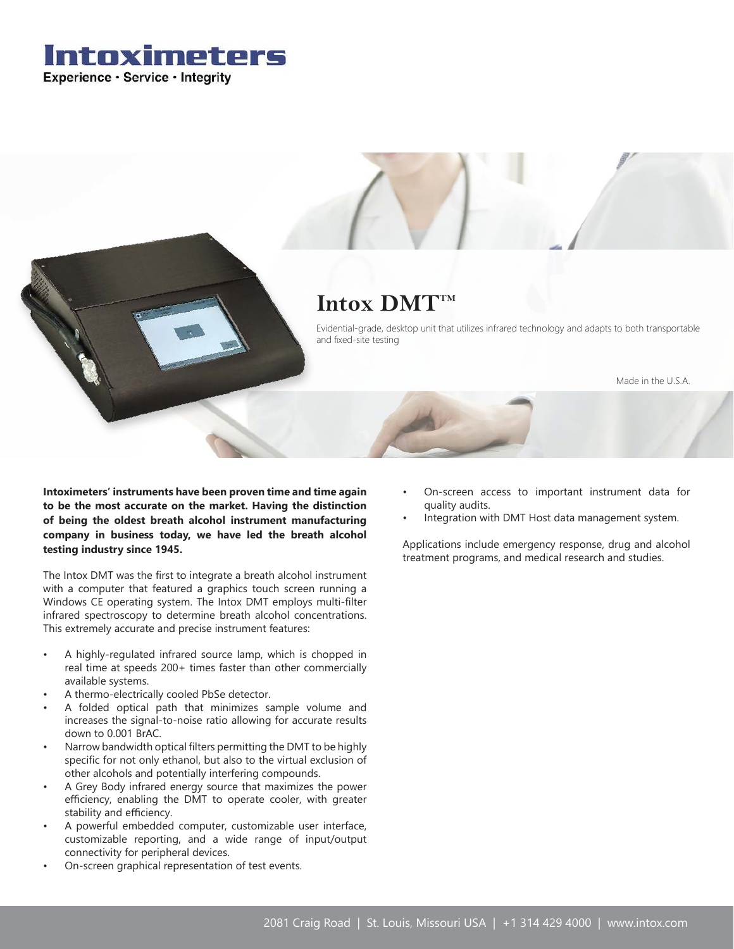

# Intox DMT<sup>TM</sup>

Evidential-grade, desktop unit that utilizes infrared technology and adapts to both transportable and fixed-site testing

Made in the U.S.A.

**Intoximeters' instruments have been proven time and time again to be the most accurate on the market. Having the distinction of being the oldest breath alcohol instrument manufacturing company in business today, we have led the breath alcohol testing industry since 1945.**

The Intox DMT was the first to integrate a breath alcohol instrument with a computer that featured a graphics touch screen running a Windows CE operating system. The Intox DMT employs multi-filter infrared spectroscopy to determine breath alcohol concentrations. This extremely accurate and precise instrument features:

- A highly-regulated infrared source lamp, which is chopped in real time at speeds 200+ times faster than other commercially available systems.
- A thermo-electrically cooled PbSe detector.
- A folded optical path that minimizes sample volume and increases the signal-to-noise ratio allowing for accurate results down to 0.001 BrAC.
- Narrow bandwidth optical filters permitting the DMT to be highly specific for not only ethanol, but also to the virtual exclusion of other alcohols and potentially interfering compounds.
- A Grey Body infrared energy source that maximizes the power efficiency, enabling the DMT to operate cooler, with greater stability and efficiency.
- A powerful embedded computer, customizable user interface, customizable reporting, and a wide range of input/output connectivity for peripheral devices.
- On-screen graphical representation of test events.
- On-screen access to important instrument data for quality audits.
- Integration with DMT Host data management system.

Applications include emergency response, drug and alcohol treatment programs, and medical research and studies.